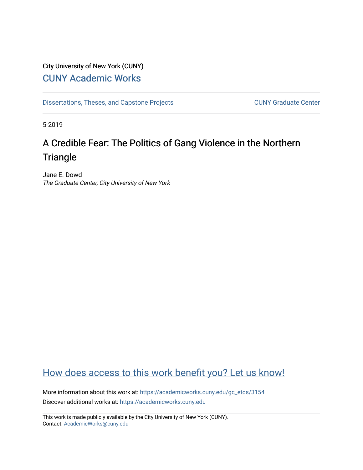# City University of New York (CUNY) [CUNY Academic Works](https://academicworks.cuny.edu/)

[Dissertations, Theses, and Capstone Projects](https://academicworks.cuny.edu/gc_etds) CUNY Graduate Center

5-2019

# A Credible Fear: The Politics of Gang Violence in the Northern **Triangle**

Jane E. Dowd The Graduate Center, City University of New York

# [How does access to this work benefit you? Let us know!](http://ols.cuny.edu/academicworks/?ref=https://academicworks.cuny.edu/gc_etds/3154)

More information about this work at: [https://academicworks.cuny.edu/gc\\_etds/3154](https://academicworks.cuny.edu/gc_etds/3154) Discover additional works at: [https://academicworks.cuny.edu](https://academicworks.cuny.edu/?)

This work is made publicly available by the City University of New York (CUNY). Contact: [AcademicWorks@cuny.edu](mailto:AcademicWorks@cuny.edu)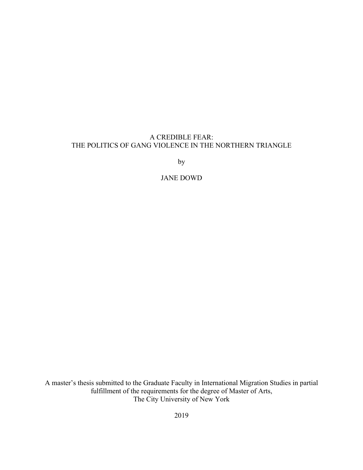# A CREDIBLE FEAR: THE POLITICS OF GANG VIOLENCE IN THE NORTHERN TRIANGLE

by

# JANE DOWD

A master's thesis submitted to the Graduate Faculty in International Migration Studies in partial fulfillment of the requirements for the degree of Master of Arts, The City University of New York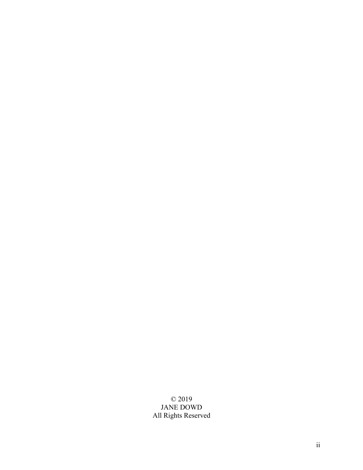# © 2019 JANE DOWD All Rights Reserved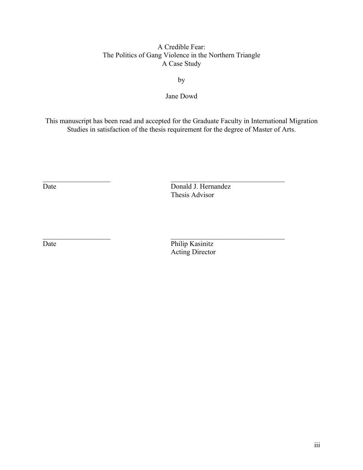# A Credible Fear: The Politics of Gang Violence in the Northern Triangle A Case Study

by

Jane Dowd

This manuscript has been read and accepted for the Graduate Faculty in International Migration Studies in satisfaction of the thesis requirement for the degree of Master of Arts.

Date Donald J. Hernandez Thesis Advisor

Date Philip Kasinitz Acting Director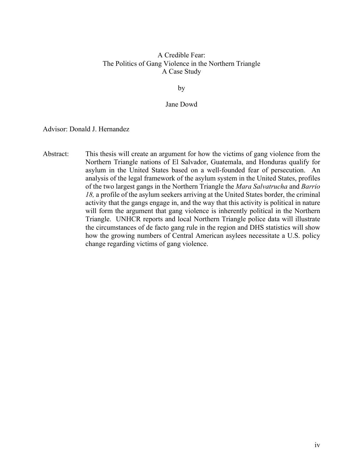# A Credible Fear: The Politics of Gang Violence in the Northern Triangle A Case Study

by

## Jane Dowd

Advisor: Donald J. Hernandez

Abstract: This thesis will create an argument for how the victims of gang violence from the Northern Triangle nations of El Salvador, Guatemala, and Honduras qualify for asylum in the United States based on a well-founded fear of persecution. An analysis of the legal framework of the asylum system in the United States, profiles of the two largest gangs in the Northern Triangle the *Mara Salvatrucha* and *Barrio 18,* a profile of the asylum seekers arriving at the United States border, the criminal activity that the gangs engage in, and the way that this activity is political in nature will form the argument that gang violence is inherently political in the Northern Triangle. UNHCR reports and local Northern Triangle police data will illustrate the circumstances of de facto gang rule in the region and DHS statistics will show how the growing numbers of Central American asylees necessitate a U.S. policy change regarding victims of gang violence.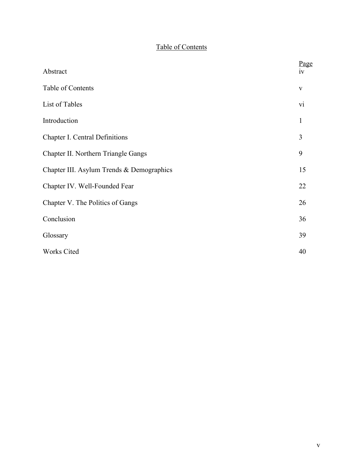# Table of Contents

| Abstract                                  | Page<br>1V   |
|-------------------------------------------|--------------|
|                                           |              |
| Table of Contents                         | $\mathbf{V}$ |
| List of Tables                            | vi           |
| Introduction                              | $\mathbf{1}$ |
| Chapter I. Central Definitions            | 3            |
| Chapter II. Northern Triangle Gangs       | 9            |
| Chapter III. Asylum Trends & Demographics | 15           |
| Chapter IV. Well-Founded Fear             | 22           |
| Chapter V. The Politics of Gangs          | 26           |
| Conclusion                                | 36           |
| Glossary                                  | 39           |
| Works Cited                               | 40           |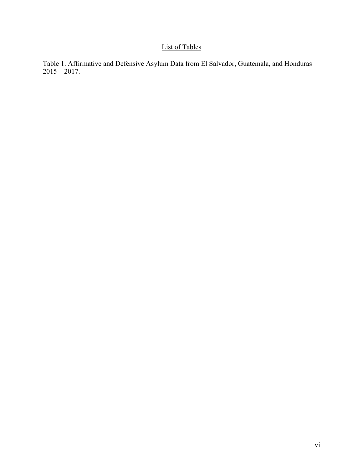# List of Tables

Table 1. Affirmative and Defensive Asylum Data from El Salvador, Guatemala, and Honduras  $2015 - 2017.$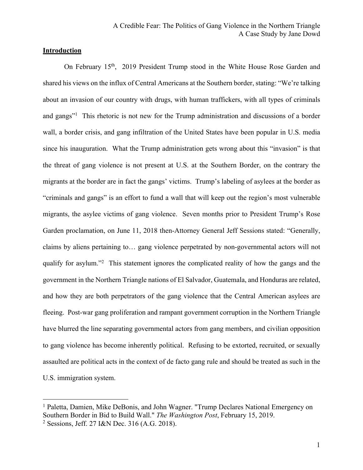# **Introduction**

On February 15<sup>th</sup>, 2019 President Trump stood in the White House Rose Garden and shared his views on the influx of Central Americans at the Southern border, stating: "We're talking about an invasion of our country with drugs, with human traffickers, with all types of criminals and gangs"<sup>1</sup> This rhetoric is not new for the Trump administration and discussions of a border wall, a border crisis, and gang infiltration of the United States have been popular in U.S. media since his inauguration. What the Trump administration gets wrong about this "invasion" is that the threat of gang violence is not present at U.S. at the Southern Border, on the contrary the migrants at the border are in fact the gangs' victims. Trump's labeling of asylees at the border as "criminals and gangs" is an effort to fund a wall that will keep out the region's most vulnerable migrants, the asylee victims of gang violence. Seven months prior to President Trump's Rose Garden proclamation, on June 11, 2018 then-Attorney General Jeff Sessions stated: "Generally, claims by aliens pertaining to… gang violence perpetrated by non-governmental actors will not qualify for asylum."<sup>2</sup> This statement ignores the complicated reality of how the gangs and the government in the Northern Triangle nations of El Salvador, Guatemala, and Honduras are related, and how they are both perpetrators of the gang violence that the Central American asylees are fleeing. Post-war gang proliferation and rampant government corruption in the Northern Triangle have blurred the line separating governmental actors from gang members, and civilian opposition to gang violence has become inherently political. Refusing to be extorted, recruited, or sexually assaulted are political acts in the context of de facto gang rule and should be treated as such in the U.S. immigration system.

<sup>&</sup>lt;sup>1</sup> Paletta, Damien, Mike DeBonis, and John Wagner. "Trump Declares National Emergency on Southern Border in Bid to Build Wall." *The Washington Post*, February 15, 2019.

<sup>2</sup> Sessions, Jeff. 27 I&N Dec. 316 (A.G. 2018).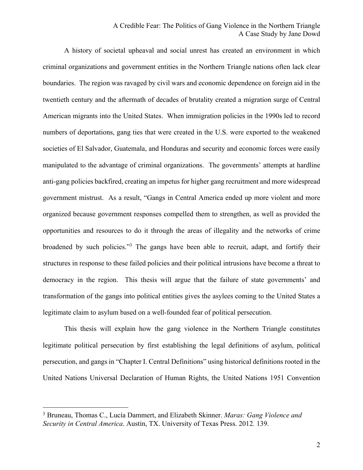# A Credible Fear: The Politics of Gang Violence in the Northern Triangle A Case Study by Jane Dowd

A history of societal upheaval and social unrest has created an environment in which criminal organizations and government entities in the Northern Triangle nations often lack clear boundaries. The region was ravaged by civil wars and economic dependence on foreign aid in the twentieth century and the aftermath of decades of brutality created a migration surge of Central American migrants into the United States. When immigration policies in the 1990s led to record numbers of deportations, gang ties that were created in the U.S. were exported to the weakened societies of El Salvador, Guatemala, and Honduras and security and economic forces were easily manipulated to the advantage of criminal organizations. The governments' attempts at hardline anti-gang policies backfired, creating an impetus for higher gang recruitment and more widespread government mistrust. As a result, "Gangs in Central America ended up more violent and more organized because government responses compelled them to strengthen, as well as provided the opportunities and resources to do it through the areas of illegality and the networks of crime broadened by such policies."3 The gangs have been able to recruit, adapt, and fortify their structures in response to these failed policies and their political intrusions have become a threat to democracy in the region. This thesis will argue that the failure of state governments' and transformation of the gangs into political entities gives the asylees coming to the United States a legitimate claim to asylum based on a well-founded fear of political persecution.

This thesis will explain how the gang violence in the Northern Triangle constitutes legitimate political persecution by first establishing the legal definitions of asylum, political persecution, and gangs in "Chapter I. Central Definitions" using historical definitions rooted in the United Nations Universal Declaration of Human Rights, the United Nations 1951 Convention

<sup>3</sup> Bruneau, Thomas C., Lucía Dammert, and Elizabeth Skinner. *Maras: Gang Violence and Security in Central America*. Austin, TX. University of Texas Press. 2012*.* 139.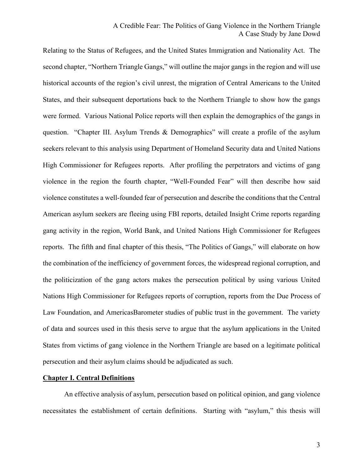Relating to the Status of Refugees, and the United States Immigration and Nationality Act. The second chapter, "Northern Triangle Gangs," will outline the major gangs in the region and will use historical accounts of the region's civil unrest, the migration of Central Americans to the United States, and their subsequent deportations back to the Northern Triangle to show how the gangs were formed. Various National Police reports will then explain the demographics of the gangs in question. "Chapter III. Asylum Trends & Demographics" will create a profile of the asylum seekers relevant to this analysis using Department of Homeland Security data and United Nations High Commissioner for Refugees reports. After profiling the perpetrators and victims of gang violence in the region the fourth chapter, "Well-Founded Fear" will then describe how said violence constitutes a well-founded fear of persecution and describe the conditions that the Central American asylum seekers are fleeing using FBI reports, detailed Insight Crime reports regarding gang activity in the region, World Bank, and United Nations High Commissioner for Refugees reports. The fifth and final chapter of this thesis, "The Politics of Gangs," will elaborate on how the combination of the inefficiency of government forces, the widespread regional corruption, and the politicization of the gang actors makes the persecution political by using various United Nations High Commissioner for Refugees reports of corruption, reports from the Due Process of Law Foundation, and AmericasBarometer studies of public trust in the government. The variety of data and sources used in this thesis serve to argue that the asylum applications in the United States from victims of gang violence in the Northern Triangle are based on a legitimate political persecution and their asylum claims should be adjudicated as such.

#### **Chapter I. Central Definitions**

An effective analysis of asylum, persecution based on political opinion, and gang violence necessitates the establishment of certain definitions. Starting with "asylum," this thesis will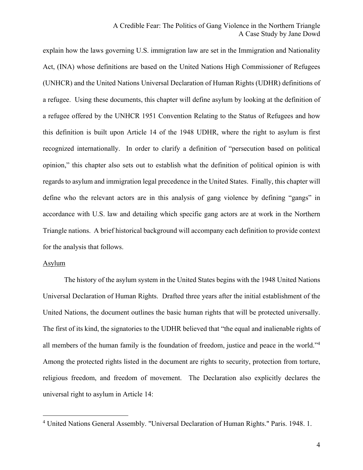explain how the laws governing U.S. immigration law are set in the Immigration and Nationality Act, (INA) whose definitions are based on the United Nations High Commissioner of Refugees (UNHCR) and the United Nations Universal Declaration of Human Rights (UDHR) definitions of a refugee. Using these documents, this chapter will define asylum by looking at the definition of a refugee offered by the UNHCR 1951 Convention Relating to the Status of Refugees and how this definition is built upon Article 14 of the 1948 UDHR, where the right to asylum is first recognized internationally. In order to clarify a definition of "persecution based on political opinion," this chapter also sets out to establish what the definition of political opinion is with regards to asylum and immigration legal precedence in the United States. Finally, this chapter will define who the relevant actors are in this analysis of gang violence by defining "gangs" in accordance with U.S. law and detailing which specific gang actors are at work in the Northern Triangle nations. A brief historical background will accompany each definition to provide context for the analysis that follows.

#### Asylum

 $\overline{a}$ 

The history of the asylum system in the United States begins with the 1948 United Nations Universal Declaration of Human Rights. Drafted three years after the initial establishment of the United Nations, the document outlines the basic human rights that will be protected universally. The first of its kind, the signatories to the UDHR believed that "the equal and inalienable rights of all members of the human family is the foundation of freedom, justice and peace in the world."4 Among the protected rights listed in the document are rights to security, protection from torture, religious freedom, and freedom of movement. The Declaration also explicitly declares the universal right to asylum in Article 14:

<sup>4</sup> United Nations General Assembly. "Universal Declaration of Human Rights." Paris. 1948. 1.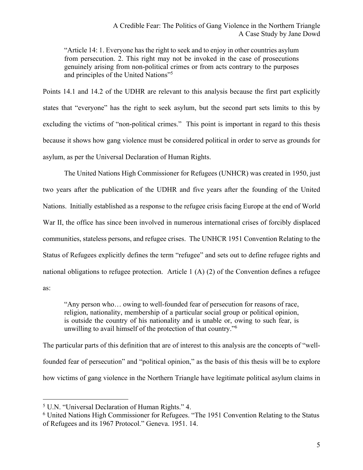"Article 14: 1. Everyone has the right to seek and to enjoy in other countries asylum from persecution. 2. This right may not be invoked in the case of prosecutions genuinely arising from non-political crimes or from acts contrary to the purposes and principles of the United Nations"5

Points 14.1 and 14.2 of the UDHR are relevant to this analysis because the first part explicitly states that "everyone" has the right to seek asylum, but the second part sets limits to this by excluding the victims of "non-political crimes." This point is important in regard to this thesis because it shows how gang violence must be considered political in order to serve as grounds for asylum, as per the Universal Declaration of Human Rights.

The United Nations High Commissioner for Refugees (UNHCR) was created in 1950, just two years after the publication of the UDHR and five years after the founding of the United Nations. Initially established as a response to the refugee crisis facing Europe at the end of World War II, the office has since been involved in numerous international crises of forcibly displaced communities, stateless persons, and refugee crises. The UNHCR 1951 Convention Relating to the Status of Refugees explicitly defines the term "refugee" and sets out to define refugee rights and national obligations to refugee protection. Article 1 (A) (2) of the Convention defines a refugee as:

"Any person who… owing to well-founded fear of persecution for reasons of race, religion, nationality, membership of a particular social group or political opinion, is outside the country of his nationality and is unable or, owing to such fear, is unwilling to avail himself of the protection of that country."6

The particular parts of this definition that are of interest to this analysis are the concepts of "wellfounded fear of persecution" and "political opinion," as the basis of this thesis will be to explore how victims of gang violence in the Northern Triangle have legitimate political asylum claims in

<sup>5</sup> U.N. "Universal Declaration of Human Rights." 4.

<sup>6</sup> United Nations High Commissioner for Refugees. "The 1951 Convention Relating to the Status of Refugees and its 1967 Protocol." Geneva. 1951. 14.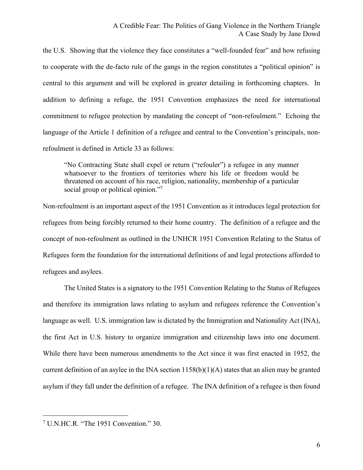the U.S. Showing that the violence they face constitutes a "well-founded fear" and how refusing to cooperate with the de-facto rule of the gangs in the region constitutes a "political opinion" is central to this argument and will be explored in greater detailing in forthcoming chapters. In addition to defining a refuge, the 1951 Convention emphasizes the need for international commitment to refugee protection by mandating the concept of "non-refoulment." Echoing the language of the Article 1 definition of a refugee and central to the Convention's principals, nonrefoulment is defined in Article 33 as follows:

"No Contracting State shall expel or return ("refouler") a refugee in any manner whatsoever to the frontiers of territories where his life or freedom would be threatened on account of his race, religion, nationality, membership of a particular social group or political opinion."<sup>7</sup>

Non-refoulment is an important aspect of the 1951 Convention as it introduces legal protection for refugees from being forcibly returned to their home country. The definition of a refugee and the concept of non-refoulment as outlined in the UNHCR 1951 Convention Relating to the Status of Refugees form the foundation for the international definitions of and legal protections afforded to refugees and asylees.

The United States is a signatory to the 1951 Convention Relating to the Status of Refugees and therefore its immigration laws relating to asylum and refugees reference the Convention's language as well. U.S. immigration law is dictated by the Immigration and Nationality Act (INA), the first Act in U.S. history to organize immigration and citizenship laws into one document. While there have been numerous amendments to the Act since it was first enacted in 1952, the current definition of an asylee in the INA section  $1158(b)(1)(A)$  states that an alien may be granted asylum if they fall under the definition of a refugee. The INA definition of a refugee is then found

<sup>7</sup> U.N.HC.R. "The 1951 Convention." 30.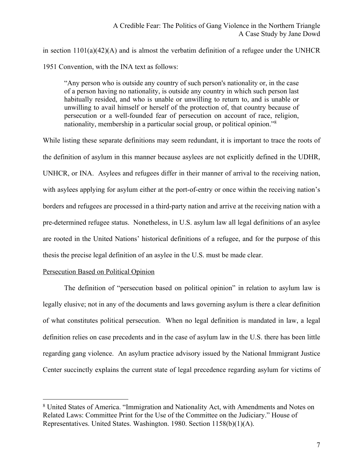in section 1101(a)(42)(A) and is almost the verbatim definition of a refugee under the UNHCR 1951 Convention, with the INA text as follows:

"Any person who is outside any country of such person's nationality or, in the case of a person having no nationality, is outside any country in which such person last habitually resided, and who is unable or unwilling to return to, and is unable or unwilling to avail himself or herself of the protection of, that country because of persecution or a well-founded fear of persecution on account of race, religion, nationality, membership in a particular social group, or political opinion."8

While listing these separate definitions may seem redundant, it is important to trace the roots of the definition of asylum in this manner because asylees are not explicitly defined in the UDHR, UNHCR, or INA. Asylees and refugees differ in their manner of arrival to the receiving nation, with asylees applying for asylum either at the port-of-entry or once within the receiving nation's borders and refugees are processed in a third-party nation and arrive at the receiving nation with a pre-determined refugee status. Nonetheless, in U.S. asylum law all legal definitions of an asylee are rooted in the United Nations' historical definitions of a refugee, and for the purpose of this thesis the precise legal definition of an asylee in the U.S. must be made clear.

# Persecution Based on Political Opinion

 $\overline{a}$ 

The definition of "persecution based on political opinion" in relation to asylum law is legally elusive; not in any of the documents and laws governing asylum is there a clear definition of what constitutes political persecution. When no legal definition is mandated in law, a legal definition relies on case precedents and in the case of asylum law in the U.S. there has been little regarding gang violence. An asylum practice advisory issued by the National Immigrant Justice Center succinctly explains the current state of legal precedence regarding asylum for victims of

<sup>8</sup> United States of America. "Immigration and Nationality Act, with Amendments and Notes on Related Laws: Committee Print for the Use of the Committee on the Judiciary." House of Representatives. United States. Washington. 1980. Section 1158(b)(1)(A).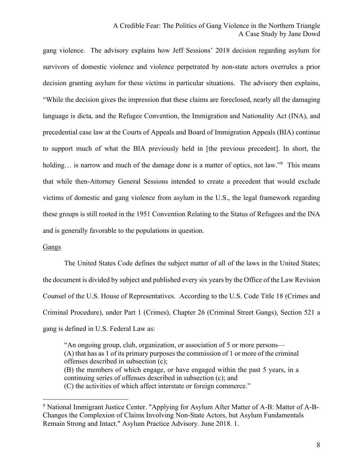gang violence. The advisory explains how Jeff Sessions' 2018 decision regarding asylum for survivors of domestic violence and violence perpetrated by non-state actors overrules a prior decision granting asylum for these victims in particular situations. The advisory then explains, "While the decision gives the impression that these claims are foreclosed, nearly all the damaging language is dicta, and the Refugee Convention, the Immigration and Nationality Act (INA), and precedential case law at the Courts of Appeals and Board of Immigration Appeals (BIA) continue to support much of what the BIA previously held in [the previous precedent]. In short, the holding... is narrow and much of the damage done is a matter of optics, not law."<sup>9</sup> This means that while then-Attorney General Sessions intended to create a precedent that would exclude victims of domestic and gang violence from asylum in the U.S., the legal framework regarding these groups is still rooted in the 1951 Convention Relating to the Status of Refugees and the INA and is generally favorable to the populations in question.

#### Gangs

 $\overline{a}$ 

The United States Code defines the subject matter of all of the laws in the United States; the document is divided by subject and published every six years by the Office of the Law Revision Counsel of the U.S. House of Representatives. According to the U.S. Code Title 18 (Crimes and Criminal Procedure), under Part 1 (Crimes), Chapter 26 (Criminal Street Gangs), Section 521 a gang is defined in U.S. Federal Law as:

"An ongoing group, club, organization, or association of 5 or more persons— (A) that has as 1 of its primary purposes the commission of 1 or more of the criminal offenses described in subsection (c); (B) the members of which engage, or have engaged within the past 5 years, in a continuing series of offenses described in subsection (c); and (C) the activities of which affect interstate or foreign commerce."

<sup>9</sup> National Immigrant Justice Center. "Applying for Asylum After Matter of A-B: Matter of A-B-Changes the Complexion of Claims Involving Non-State Actors, but Asylum Fundamentals Remain Strong and Intact." Asylum Practice Advisory. June 2018. 1.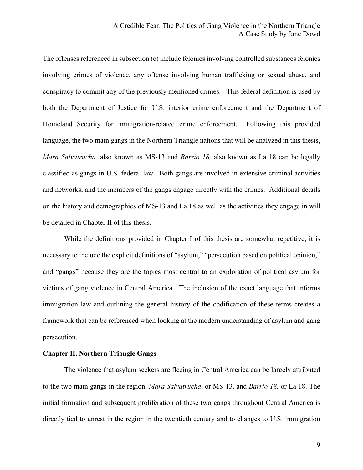The offenses referenced in subsection (c) include felonies involving controlled substances felonies involving crimes of violence, any offense involving human trafficking or sexual abuse, and conspiracy to commit any of the previously mentioned crimes. This federal definition is used by both the Department of Justice for U.S. interior crime enforcement and the Department of Homeland Security for immigration-related crime enforcement. Following this provided language, the two main gangs in the Northern Triangle nations that will be analyzed in this thesis, *Mara Salvatrucha,* also known as MS-13 and *Barrio 18,* also known as La 18 can be legally classified as gangs in U.S. federal law. Both gangs are involved in extensive criminal activities and networks, and the members of the gangs engage directly with the crimes. Additional details on the history and demographics of MS-13 and La 18 as well as the activities they engage in will be detailed in Chapter II of this thesis.

While the definitions provided in Chapter I of this thesis are somewhat repetitive, it is necessary to include the explicit definitions of "asylum," "persecution based on political opinion," and "gangs" because they are the topics most central to an exploration of political asylum for victims of gang violence in Central America. The inclusion of the exact language that informs immigration law and outlining the general history of the codification of these terms creates a framework that can be referenced when looking at the modern understanding of asylum and gang persecution.

#### **Chapter II. Northern Triangle Gangs**

The violence that asylum seekers are fleeing in Central America can be largely attributed to the two main gangs in the region, *Mara Salvatrucha*, or MS-13, and *Barrio 18,* or La 18. The initial formation and subsequent proliferation of these two gangs throughout Central America is directly tied to unrest in the region in the twentieth century and to changes to U.S. immigration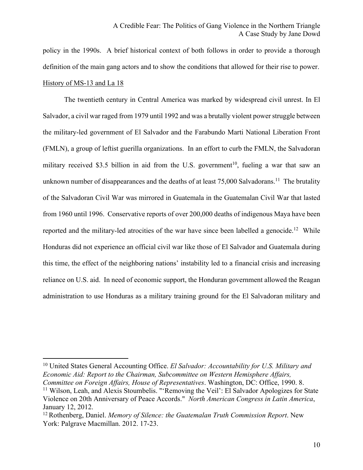policy in the 1990s. A brief historical context of both follows in order to provide a thorough definition of the main gang actors and to show the conditions that allowed for their rise to power. History of MS-13 and La 18

The twentieth century in Central America was marked by widespread civil unrest. In El Salvador, a civil war raged from 1979 until 1992 and was a brutally violent power struggle between the military-led government of El Salvador and the Farabundo Marti National Liberation Front (FMLN), a group of leftist guerilla organizations. In an effort to curb the FMLN, the Salvadoran military received \$3.5 billion in aid from the U.S. government<sup>10</sup>, fueling a war that saw an unknown number of disappearances and the deaths of at least  $75,000$  Salvadorans.<sup>11</sup> The brutality of the Salvadoran Civil War was mirrored in Guatemala in the Guatemalan Civil War that lasted from 1960 until 1996. Conservative reports of over 200,000 deaths of indigenous Maya have been reported and the military-led atrocities of the war have since been labelled a genocide.<sup>12</sup> While Honduras did not experience an official civil war like those of El Salvador and Guatemala during this time, the effect of the neighboring nations' instability led to a financial crisis and increasing reliance on U.S. aid. In need of economic support, the Honduran government allowed the Reagan administration to use Honduras as a military training ground for the El Salvadoran military and

<sup>10</sup> United States General Accounting Office. *El Salvador: Accountability for U.S. Military and Economic Aid: Report to the Chairman, Subcommittee on Western Hemisphere Affairs, Committee on Foreign Affairs, House of Representatives*. Washington, DC: Office, 1990. 8.

<sup>&</sup>lt;sup>11</sup> Wilson, Leah, and Alexis Stoumbelis. "'Removing the Veil': El Salvador Apologizes for State Violence on 20th Anniversary of Peace Accords." *North American Congress in Latin America*, January 12, 2012.

<sup>12</sup> Rothenberg, Daniel. *Memory of Silence: the Guatemalan Truth Commission Report*. New York: Palgrave Macmillan. 2012. 17-23.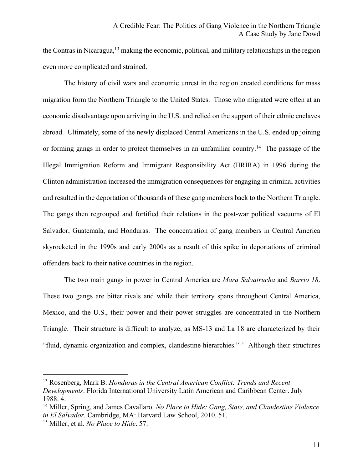the Contras in Nicaragua,<sup>13</sup> making the economic, political, and military relationships in the region even more complicated and strained.

The history of civil wars and economic unrest in the region created conditions for mass migration form the Northern Triangle to the United States. Those who migrated were often at an economic disadvantage upon arriving in the U.S. and relied on the support of their ethnic enclaves abroad. Ultimately, some of the newly displaced Central Americans in the U.S. ended up joining or forming gangs in order to protect themselves in an unfamiliar country.<sup>14</sup> The passage of the Illegal Immigration Reform and Immigrant Responsibility Act (IIRIRA) in 1996 during the Clinton administration increased the immigration consequences for engaging in criminal activities and resulted in the deportation of thousands of these gang members back to the Northern Triangle. The gangs then regrouped and fortified their relations in the post-war political vacuums of El Salvador, Guatemala, and Honduras. The concentration of gang members in Central America skyrocketed in the 1990s and early 2000s as a result of this spike in deportations of criminal offenders back to their native countries in the region.

The two main gangs in power in Central America are *Mara Salvatrucha* and *Barrio 18*. These two gangs are bitter rivals and while their territory spans throughout Central America, Mexico, and the U.S., their power and their power struggles are concentrated in the Northern Triangle. Their structure is difficult to analyze, as MS-13 and La 18 are characterized by their "fluid, dynamic organization and complex, clandestine hierarchies."15 Although their structures

<sup>13</sup> Rosenberg, Mark B. *Honduras in the Central American Conflict: Trends and Recent Developments*. Florida International University Latin American and Caribbean Center. July 1988. 4.

<sup>14</sup> Miller, Spring, and James Cavallaro. *No Place to Hide: Gang, State, and Clandestine Violence in El Salvador*. Cambridge, MA: Harvard Law School, 2010. 51.

<sup>15</sup> Miller, et al. *No Place to Hide*. 57.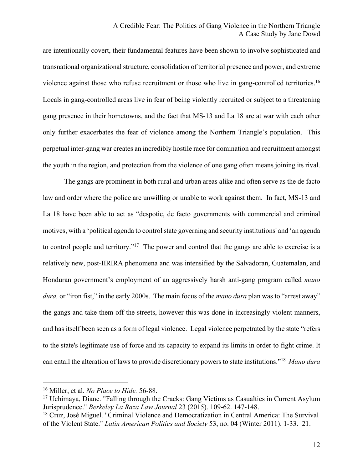are intentionally covert, their fundamental features have been shown to involve sophisticated and transnational organizational structure, consolidation of territorial presence and power, and extreme violence against those who refuse recruitment or those who live in gang-controlled territories.16 Locals in gang-controlled areas live in fear of being violently recruited or subject to a threatening gang presence in their hometowns, and the fact that MS-13 and La 18 are at war with each other only further exacerbates the fear of violence among the Northern Triangle's population. This perpetual inter-gang war creates an incredibly hostile race for domination and recruitment amongst the youth in the region, and protection from the violence of one gang often means joining its rival.

The gangs are prominent in both rural and urban areas alike and often serve as the de facto law and order where the police are unwilling or unable to work against them. In fact, MS-13 and La 18 have been able to act as "despotic, de facto governments with commercial and criminal motives, with a 'political agenda to control state governing and security institutions' and 'an agenda to control people and territory."17 The power and control that the gangs are able to exercise is a relatively new, post-IIRIRA phenomena and was intensified by the Salvadoran, Guatemalan, and Honduran government's employment of an aggressively harsh anti-gang program called *mano dura,* or "iron fist," in the early 2000s. The main focus of the *mano dura* plan was to "arrest away" the gangs and take them off the streets, however this was done in increasingly violent manners, and has itself been seen as a form of legal violence. Legal violence perpetrated by the state "refers to the state's legitimate use of force and its capacity to expand its limits in order to fight crime. It can entail the alteration of laws to provide discretionary powers to state institutions."18 *Mano dura* 

<sup>16</sup> Miller, et al. *No Place to Hide.* 56-88.

 $17$  Uchimaya, Diane. "Falling through the Cracks: Gang Victims as Casualties in Current Asylum Jurisprudence." *Berkeley La Raza Law Journal* 23 (2015). 109-62. 147-148.

<sup>&</sup>lt;sup>18</sup> Cruz, José Miguel. "Criminal Violence and Democratization in Central America: The Survival of the Violent State." *Latin American Politics and Society* 53, no. 04 (Winter 2011). 1-33. 21.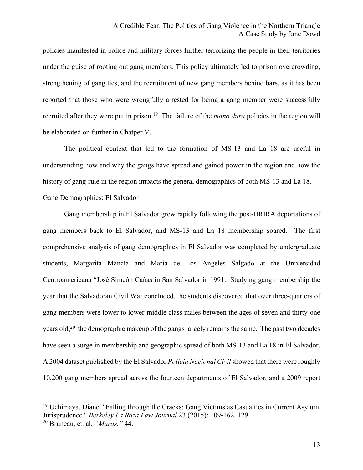policies manifested in police and military forces further terrorizing the people in their territories under the guise of rooting out gang members. This policy ultimately led to prison overcrowding, strengthening of gang ties, and the recruitment of new gang members behind bars, as it has been reported that those who were wrongfully arrested for being a gang member were successfully recruited after they were put in prison.19 The failure of the *mano dura* policies in the region will be elaborated on further in Chatper V.

The political context that led to the formation of MS-13 and La 18 are useful in understanding how and why the gangs have spread and gained power in the region and how the history of gang-rule in the region impacts the general demographics of both MS-13 and La 18.

#### Gang Demographics: El Salvador

 $\overline{a}$ 

Gang membership in El Salvador grew rapidly following the post-IIRIRA deportations of gang members back to El Salvador, and MS-13 and La 18 membership soared. The first comprehensive analysis of gang demographics in El Salvador was completed by undergraduate students, Margarita Mancía and María de Los Ángeles Salgado at the Universidad Centroamericana "José Simeón Cañas in San Salvador in 1991. Studying gang membership the year that the Salvadoran Civil War concluded, the students discovered that over three-quarters of gang members were lower to lower-middle class males between the ages of seven and thirty-one years old;<sup>20</sup> the demographic makeup of the gangs largely remains the same. The past two decades have seen a surge in membership and geographic spread of both MS-13 and La 18 in El Salvador. A 2004 dataset published by the El Salvador *Policia Nacional Civil* showed that there were roughly 10,200 gang members spread across the fourteen departments of El Salvador, and a 2009 report

<sup>&</sup>lt;sup>19</sup> Uchimaya, Diane. "Falling through the Cracks: Gang Victims as Casualties in Current Asylum Jurisprudence." *Berkeley La Raza Law Journal* 23 (2015): 109-162. 129. <sup>20</sup> Bruneau, et. al. *"Maras."* 44.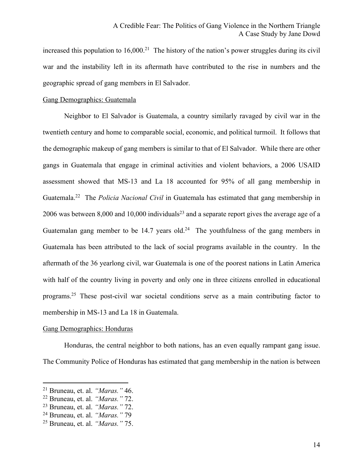increased this population to  $16,000$ <sup>21</sup> The history of the nation's power struggles during its civil war and the instability left in its aftermath have contributed to the rise in numbers and the geographic spread of gang members in El Salvador.

## Gang Demographics: Guatemala

Neighbor to El Salvador is Guatemala, a country similarly ravaged by civil war in the twentieth century and home to comparable social, economic, and political turmoil. It follows that the demographic makeup of gang members is similar to that of El Salvador. While there are other gangs in Guatemala that engage in criminal activities and violent behaviors, a 2006 USAID assessment showed that MS-13 and La 18 accounted for 95% of all gang membership in Guatemala.22 The *Policia Nacional Civil* in Guatemala has estimated that gang membership in 2006 was between 8,000 and 10,000 individuals<sup>23</sup> and a separate report gives the average age of a Guatemalan gang member to be 14.7 years old.<sup>24</sup> The youthfulness of the gang members in Guatemala has been attributed to the lack of social programs available in the country. In the aftermath of the 36 yearlong civil, war Guatemala is one of the poorest nations in Latin America with half of the country living in poverty and only one in three citizens enrolled in educational programs.25 These post-civil war societal conditions serve as a main contributing factor to membership in MS-13 and La 18 in Guatemala.

#### Gang Demographics: Honduras

Honduras, the central neighbor to both nations, has an even equally rampant gang issue. The Community Police of Honduras has estimated that gang membership in the nation is between

<sup>21</sup> Bruneau, et. al. *"Maras."* 46.

<sup>22</sup> Bruneau, et. al. *"Maras."* 72.

<sup>23</sup> Bruneau, et. al. *"Maras."* 72.

<sup>24</sup> Bruneau, et. al. *"Maras."* 79

<sup>25</sup> Bruneau, et. al. *"Maras."* 75.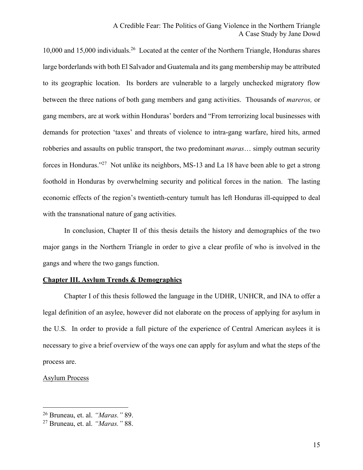10,000 and 15,000 individuals.<sup>26</sup> Located at the center of the Northern Triangle, Honduras shares large borderlands with both El Salvador and Guatemala and its gang membership may be attributed to its geographic location. Its borders are vulnerable to a largely unchecked migratory flow between the three nations of both gang members and gang activities. Thousands of *mareros,* or gang members, are at work within Honduras' borders and "From terrorizing local businesses with demands for protection 'taxes' and threats of violence to intra-gang warfare, hired hits, armed robberies and assaults on public transport, the two predominant *maras*… simply outman security forces in Honduras."27 Not unlike its neighbors, MS-13 and La 18 have been able to get a strong foothold in Honduras by overwhelming security and political forces in the nation. The lasting economic effects of the region's twentieth-century tumult has left Honduras ill-equipped to deal with the transnational nature of gang activities.

In conclusion, Chapter II of this thesis details the history and demographics of the two major gangs in the Northern Triangle in order to give a clear profile of who is involved in the gangs and where the two gangs function.

# **Chapter III. Asylum Trends & Demographics**

Chapter I of this thesis followed the language in the UDHR, UNHCR, and INA to offer a legal definition of an asylee, however did not elaborate on the process of applying for asylum in the U.S. In order to provide a full picture of the experience of Central American asylees it is necessary to give a brief overview of the ways one can apply for asylum and what the steps of the process are.

#### Asylum Process

<sup>26</sup> Bruneau, et. al. *"Maras."* 89.

<sup>27</sup> Bruneau, et. al. *"Maras."* 88.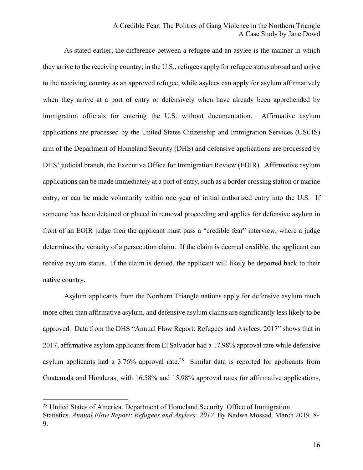# A Credible Fear: The Politics of Gang Violence in the Northern Triangle A Case Study by Jane Dowd

As stated earlier, the difference between a refugee and an asylee is the manner in which they arrive to the receiving country; in the U.S., refugees apply for refugee status abroad and arrive to the receiving country as an approved refugee, while asylees can apply for asylum affirmatively when they arrive at a port of entry or defensively when have already been apprehended by immigration officials for entering the U.S. without documentation. Affirmative asylum applications are processed by the United States Citizenship and Immigration Services (USCIS) arm of the Department of Homeland Security (DHS) and defensive applications are processed by DHS' judicial branch, the Executive Office for Immigration Review (EOIR). Affirmative asylum applications can be made immediately at a port of entry, such as a border crossing station or marine entry, or can be made voluntarily within one year of initial authorized entry into the U.S. If someone has been detained or placed in removal proceeding and applies for defensive asylum in front of an EOIR judge then the applicant must pass a "credible fear" interview, where a judge determines the veracity of a persecution claim. If the claim is deemed credible, the applicant can receive asylum status. If the claim is denied, the applicant will likely be deported back to their native country.

Asylum applicants from the Northern Triangle nations apply for defensive asylum much more often than affirmative asylum, and defensive asylum claims are significantly less likely to be approved. Data from the DHS "Annual Flow Report: Refugees and Asylees: 2017" shows that in 2017, affirmative asylum applicants from El Salvador had a 17.98% approval rate while defensive asylum applicants had a  $3.76\%$  approval rate.<sup>28</sup> Similar data is reported for applicants from Guatemala and Honduras, with 16.58% and 15.98% approval rates for affirmative applications,

<sup>&</sup>lt;sup>28</sup> United States of America. Department of Homeland Security. Office of Immigration Statistics. *Annual Flow Report: Refugees and Asylees: 2017*. By Nadwa Mossad. March 2019. 8- 9.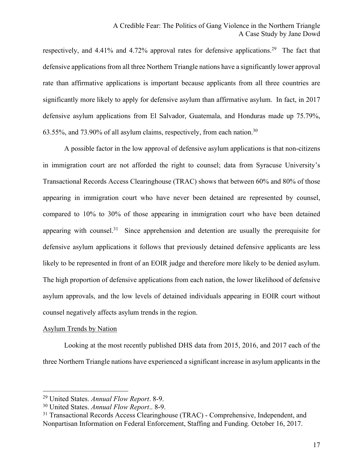respectively, and 4.41% and 4.72% approval rates for defensive applications.<sup>29</sup> The fact that defensive applications from all three Northern Triangle nations have a significantly lower approval rate than affirmative applications is important because applicants from all three countries are significantly more likely to apply for defensive asylum than affirmative asylum. In fact, in 2017 defensive asylum applications from El Salvador, Guatemala, and Honduras made up 75.79%, 63.55%, and 73.90% of all asylum claims, respectively, from each nation.30

A possible factor in the low approval of defensive asylum applications is that non-citizens in immigration court are not afforded the right to counsel; data from Syracuse University's Transactional Records Access Clearinghouse (TRAC) shows that between 60% and 80% of those appearing in immigration court who have never been detained are represented by counsel, compared to 10% to 30% of those appearing in immigration court who have been detained appearing with counsel.<sup>31</sup> Since apprehension and detention are usually the prerequisite for defensive asylum applications it follows that previously detained defensive applicants are less likely to be represented in front of an EOIR judge and therefore more likely to be denied asylum. The high proportion of defensive applications from each nation, the lower likelihood of defensive asylum approvals, and the low levels of detained individuals appearing in EOIR court without counsel negatively affects asylum trends in the region.

#### Asylum Trends by Nation

 $\overline{a}$ 

Looking at the most recently published DHS data from 2015, 2016, and 2017 each of the three Northern Triangle nations have experienced a significant increase in asylum applicants in the

<sup>29</sup> United States. *Annual Flow Report*. 8-9.

<sup>30</sup> United States. *Annual Flow Report*.. 8-9.

<sup>&</sup>lt;sup>31</sup> Transactional Records Access Clearinghouse (TRAC) - Comprehensive, Independent, and Nonpartisan Information on Federal Enforcement, Staffing and Funding. October 16, 2017.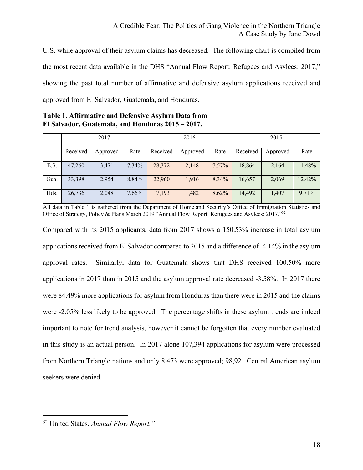U.S. while approval of their asylum claims has decreased. The following chart is compiled from the most recent data available in the DHS "Annual Flow Report: Refugees and Asylees: 2017," showing the past total number of affirmative and defensive asylum applications received and approved from El Salvador, Guatemala, and Honduras.

**Table 1. Affirmative and Defensive Asylum Data from El Salvador, Guatemala, and Honduras 2015 – 2017.**

|      | 2017     |          |          | 2016     |          |       | 2015     |          |          |
|------|----------|----------|----------|----------|----------|-------|----------|----------|----------|
|      | Received | Approved | Rate     | Received | Approved | Rate  | Received | Approved | Rate     |
| E.S. | 47,260   | 3,471    | $7.34\%$ | 28,372   | 2,148    | 7.57% | 18,864   | 2,164    | 11.48%   |
| Gua. | 33,398   | 2,954    | 8.84%    | 22,960   | 1,916    | 8.34% | 16,657   | 2,069    | 12.42%   |
| Hds. | 26,736   | 2,048    | 7.66%    | 17,193   | 1,482    | 8.62% | 14,492   | 1,407    | $9.71\%$ |

All data in Table 1 is gathered from the Department of Homeland Security's Office of Immigration Statistics and Office of Strategy, Policy & Plans March 2019 "Annual Flow Report: Refugees and Asylees: 2017."32

Compared with its 2015 applicants, data from 2017 shows a 150.53% increase in total asylum applications received from El Salvador compared to 2015 and a difference of -4.14% in the asylum approval rates. Similarly, data for Guatemala shows that DHS received 100.50% more applications in 2017 than in 2015 and the asylum approval rate decreased -3.58%. In 2017 there were 84.49% more applications for asylum from Honduras than there were in 2015 and the claims were -2.05% less likely to be approved. The percentage shifts in these asylum trends are indeed important to note for trend analysis, however it cannot be forgotten that every number evaluated in this study is an actual person. In 2017 alone 107,394 applications for asylum were processed from Northern Triangle nations and only 8,473 were approved; 98,921 Central American asylum seekers were denied.

<sup>32</sup> United States. *Annual Flow Report."*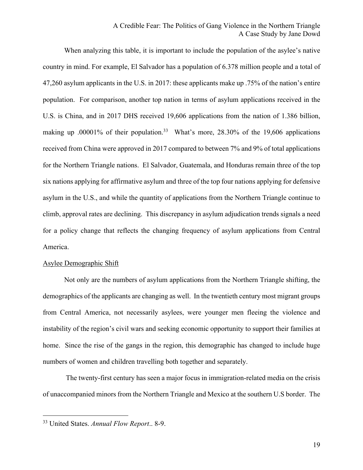# A Credible Fear: The Politics of Gang Violence in the Northern Triangle A Case Study by Jane Dowd

When analyzing this table, it is important to include the population of the asylee's native country in mind. For example, El Salvador has a population of 6.378 million people and a total of 47,260 asylum applicants in the U.S. in 2017: these applicants make up .75% of the nation's entire population. For comparison, another top nation in terms of asylum applications received in the U.S. is China, and in 2017 DHS received 19,606 applications from the nation of 1.386 billion, making up .00001% of their population.<sup>33</sup> What's more, 28.30% of the 19,606 applications received from China were approved in 2017 compared to between 7% and 9% of total applications for the Northern Triangle nations. El Salvador, Guatemala, and Honduras remain three of the top six nations applying for affirmative asylum and three of the top four nations applying for defensive asylum in the U.S., and while the quantity of applications from the Northern Triangle continue to climb, approval rates are declining. This discrepancy in asylum adjudication trends signals a need for a policy change that reflects the changing frequency of asylum applications from Central America.

#### Asylee Demographic Shift

Not only are the numbers of asylum applications from the Northern Triangle shifting, the demographics of the applicants are changing as well. In the twentieth century most migrant groups from Central America, not necessarily asylees, were younger men fleeing the violence and instability of the region's civil wars and seeking economic opportunity to support their families at home. Since the rise of the gangs in the region, this demographic has changed to include huge numbers of women and children travelling both together and separately.

The twenty-first century has seen a major focus in immigration-related media on the crisis of unaccompanied minors from the Northern Triangle and Mexico at the southern U.S border. The

<sup>33</sup> United States. *Annual Flow Report*.. 8-9.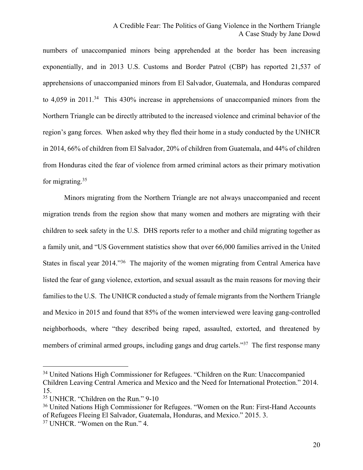numbers of unaccompanied minors being apprehended at the border has been increasing exponentially, and in 2013 U.S. Customs and Border Patrol (CBP) has reported 21,537 of apprehensions of unaccompanied minors from El Salvador, Guatemala, and Honduras compared to 4,059 in 2011.<sup>34</sup> This 430% increase in apprehensions of unaccompanied minors from the Northern Triangle can be directly attributed to the increased violence and criminal behavior of the region's gang forces. When asked why they fled their home in a study conducted by the UNHCR in 2014, 66% of children from El Salvador, 20% of children from Guatemala, and 44% of children from Honduras cited the fear of violence from armed criminal actors as their primary motivation for migrating.35

Minors migrating from the Northern Triangle are not always unaccompanied and recent migration trends from the region show that many women and mothers are migrating with their children to seek safety in the U.S. DHS reports refer to a mother and child migrating together as a family unit, and "US Government statistics show that over 66,000 families arrived in the United States in fiscal year 2014."<sup>36</sup> The majority of the women migrating from Central America have listed the fear of gang violence, extortion, and sexual assault as the main reasons for moving their families to the U.S. The UNHCR conducted a study of female migrants from the Northern Triangle and Mexico in 2015 and found that 85% of the women interviewed were leaving gang-controlled neighborhoods, where "they described being raped, assaulted, extorted, and threatened by members of criminal armed groups, including gangs and drug cartels."<sup>37</sup> The first response many

<sup>&</sup>lt;sup>34</sup> United Nations High Commissioner for Refugees. "Children on the Run: Unaccompanied

Children Leaving Central America and Mexico and the Need for International Protection." 2014. 15. <sup>35</sup> UNHCR. "Children on the Run." 9-10

<sup>&</sup>lt;sup>36</sup> United Nations High Commissioner for Refugees. "Women on the Run: First-Hand Accounts of Refugees Fleeing El Salvador, Guatemala, Honduras, and Mexico." 2015. 3.

<sup>37</sup> UNHCR. "Women on the Run." 4.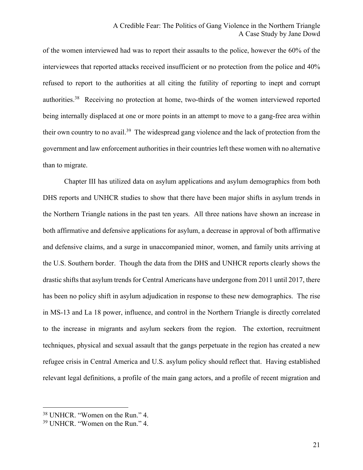of the women interviewed had was to report their assaults to the police, however the 60% of the interviewees that reported attacks received insufficient or no protection from the police and 40% refused to report to the authorities at all citing the futility of reporting to inept and corrupt authorities.38 Receiving no protection at home, two-thirds of the women interviewed reported being internally displaced at one or more points in an attempt to move to a gang-free area within their own country to no avail.39 The widespread gang violence and the lack of protection from the government and law enforcement authorities in their countries left these women with no alternative than to migrate.

Chapter III has utilized data on asylum applications and asylum demographics from both DHS reports and UNHCR studies to show that there have been major shifts in asylum trends in the Northern Triangle nations in the past ten years. All three nations have shown an increase in both affirmative and defensive applications for asylum, a decrease in approval of both affirmative and defensive claims, and a surge in unaccompanied minor, women, and family units arriving at the U.S. Southern border. Though the data from the DHS and UNHCR reports clearly shows the drastic shifts that asylum trends for Central Americans have undergone from 2011 until 2017, there has been no policy shift in asylum adjudication in response to these new demographics. The rise in MS-13 and La 18 power, influence, and control in the Northern Triangle is directly correlated to the increase in migrants and asylum seekers from the region. The extortion, recruitment techniques, physical and sexual assault that the gangs perpetuate in the region has created a new refugee crisis in Central America and U.S. asylum policy should reflect that. Having established relevant legal definitions, a profile of the main gang actors, and a profile of recent migration and

<sup>38</sup> UNHCR. "Women on the Run." 4.

<sup>39</sup> UNHCR. "Women on the Run." 4.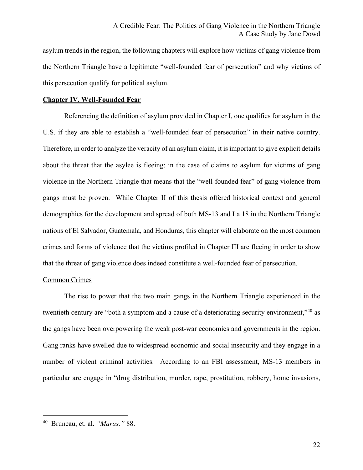asylum trends in the region, the following chapters will explore how victims of gang violence from the Northern Triangle have a legitimate "well-founded fear of persecution" and why victims of this persecution qualify for political asylum.

## **Chapter IV. Well-Founded Fear**

Referencing the definition of asylum provided in Chapter I, one qualifies for asylum in the U.S. if they are able to establish a "well-founded fear of persecution" in their native country. Therefore, in order to analyze the veracity of an asylum claim, it is important to give explicit details about the threat that the asylee is fleeing; in the case of claims to asylum for victims of gang violence in the Northern Triangle that means that the "well-founded fear" of gang violence from gangs must be proven. While Chapter II of this thesis offered historical context and general demographics for the development and spread of both MS-13 and La 18 in the Northern Triangle nations of El Salvador, Guatemala, and Honduras, this chapter will elaborate on the most common crimes and forms of violence that the victims profiled in Chapter III are fleeing in order to show that the threat of gang violence does indeed constitute a well-founded fear of persecution.

## Common Crimes

The rise to power that the two main gangs in the Northern Triangle experienced in the twentieth century are "both a symptom and a cause of a deteriorating security environment,"<sup>40</sup> as the gangs have been overpowering the weak post-war economies and governments in the region. Gang ranks have swelled due to widespread economic and social insecurity and they engage in a number of violent criminal activities. According to an FBI assessment, MS-13 members in particular are engage in "drug distribution, murder, rape, prostitution, robbery, home invasions,

<sup>40</sup> Bruneau, et. al. *"Maras."* 88.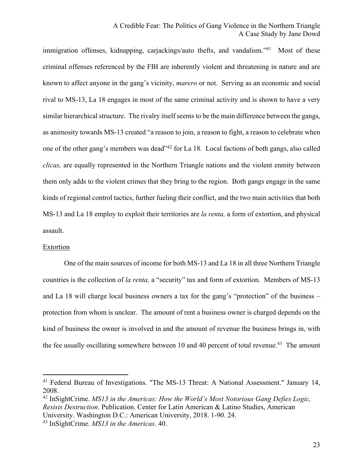immigration offenses, kidnapping, carjackings/auto thefts, and vandalism."<sup>41</sup> Most of these criminal offenses referenced by the FBI are inherently violent and threatening in nature and are known to affect anyone in the gang's vicinity, *marero* or not. Serving as an economic and social rival to MS-13, La 18 engages in most of the same criminal activity and is shown to have a very similar hierarchical structure. The rivalry itself seems to be the main difference between the gangs, as animosity towards MS-13 created "a reason to join, a reason to fight, a reason to celebrate when one of the other gang's members was dead"42 for La 18. Local factions of both gangs, also called *clicas,* are equally represented in the Northern Triangle nations and the violent enmity between them only adds to the violent crimes that they bring to the region. Both gangs engage in the same kinds of regional control tactics, further fueling their conflict, and the two main activities that both MS-13 and La 18 employ to exploit their territories are *la renta,* a form of extortion, and physical assault.

#### Extortion

 $\overline{a}$ 

One of the main sources of income for both MS-13 and La 18 in all three Northern Triangle countries is the collection of *la renta,* a "security" tax and form of extortion. Members of MS-13 and La 18 will charge local business owners a tax for the gang's "protection" of the business – protection from whom is unclear. The amount of rent a business owner is charged depends on the kind of business the owner is involved in and the amount of revenue the business brings in, with the fee usually oscillating somewhere between 10 and 40 percent of total revenue.<sup>43</sup> The amount

<sup>41</sup> Federal Bureau of Investigations. "The MS-13 Threat: A National Assessment." January 14, 2008.

<sup>42</sup> InSightCrime. *MS13 in the Americas: How the World's Most Notorious Gang Defies Logic, Resists Destruction*. Publication. Center for Latin American & Latino Studies, American University. Washington D.C.: American University, 2018. 1-90. 24.

<sup>43</sup> InSightCrime. *MS13 in the Americas.* 40.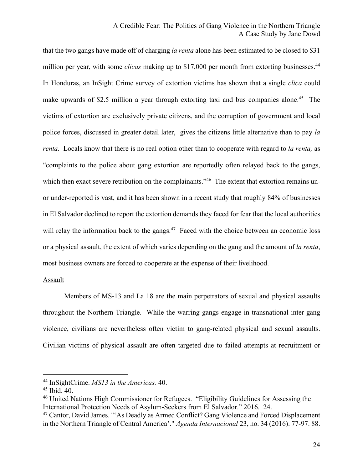that the two gangs have made off of charging *la renta* alone has been estimated to be closed to \$31 million per year, with some *clicas* making up to \$17,000 per month from extorting businesses.<sup>44</sup> In Honduras, an InSight Crime survey of extortion victims has shown that a single *clica* could make upwards of \$2.5 million a year through extorting taxi and bus companies alone.<sup>45</sup> The victims of extortion are exclusively private citizens, and the corruption of government and local police forces, discussed in greater detail later, gives the citizens little alternative than to pay *la renta.* Locals know that there is no real option other than to cooperate with regard to *la renta,* as "complaints to the police about gang extortion are reportedly often relayed back to the gangs, which then exact severe retribution on the complainants."<sup>46</sup> The extent that extortion remains unor under-reported is vast, and it has been shown in a recent study that roughly 84% of businesses in El Salvador declined to report the extortion demands they faced for fear that the local authorities will relay the information back to the gangs. $47$  Faced with the choice between an economic loss or a physical assault, the extent of which varies depending on the gang and the amount of *la renta*, most business owners are forced to cooperate at the expense of their livelihood.

#### Assault

Members of MS-13 and La 18 are the main perpetrators of sexual and physical assaults throughout the Northern Triangle. While the warring gangs engage in transnational inter-gang violence, civilians are nevertheless often victim to gang-related physical and sexual assaults. Civilian victims of physical assault are often targeted due to failed attempts at recruitment or

<sup>44</sup> InSightCrime. *MS13 in the Americas.* 40.

<sup>45</sup> Ibid. 40.

<sup>46</sup> United Nations High Commissioner for Refugees. "Eligibility Guidelines for Assessing the International Protection Needs of Asylum-Seekers from El Salvador." 2016. 24.

<sup>&</sup>lt;sup>47</sup> Cantor, David James. "'As Deadly as Armed Conflict? Gang Violence and Forced Displacement in the Northern Triangle of Central America'." *Agenda Internacional* 23, no. 34 (2016). 77-97. 88.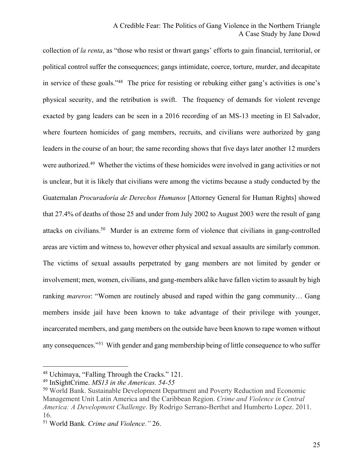collection of *la renta*, as "those who resist or thwart gangs' efforts to gain financial, territorial, or political control suffer the consequences; gangs intimidate, coerce, torture, murder, and decapitate in service of these goals."48 The price for resisting or rebuking either gang's activities is one's physical security, and the retribution is swift. The frequency of demands for violent revenge exacted by gang leaders can be seen in a 2016 recording of an MS-13 meeting in El Salvador, where fourteen homicides of gang members, recruits, and civilians were authorized by gang leaders in the course of an hour; the same recording shows that five days later another 12 murders were authorized.<sup>49</sup> Whether the victims of these homicides were involved in gang activities or not is unclear, but it is likely that civilians were among the victims because a study conducted by the Guatemalan *Procuradoría de Derechos Humanos* [Attorney General for Human Rights] showed that 27.4% of deaths of those 25 and under from July 2002 to August 2003 were the result of gang attacks on civilians.50 Murder is an extreme form of violence that civilians in gang-controlled areas are victim and witness to, however other physical and sexual assaults are similarly common. The victims of sexual assaults perpetrated by gang members are not limited by gender or involvement; men, women, civilians, and gang-members alike have fallen victim to assault by high ranking *mareros*: "Women are routinely abused and raped within the gang community… Gang members inside jail have been known to take advantage of their privilege with younger, incarcerated members, and gang members on the outside have been known to rape women without any consequences."51 With gender and gang membership being of little consequence to who suffer

<sup>48</sup> Uchimaya, "Falling Through the Cracks." 121.

<sup>49</sup> InSightCrime. *MS13 in the Americas. 54-55*

<sup>50</sup> World Bank. Sustainable Development Department and Poverty Reduction and Economic Management Unit Latin America and the Caribbean Region. *Crime and Violence in Central America: A Development Challenge*. By Rodrigo Serrano-Berthet and Humberto Lopez. 2011. 16.

<sup>51</sup> World Bank*. Crime and Violence."* 26.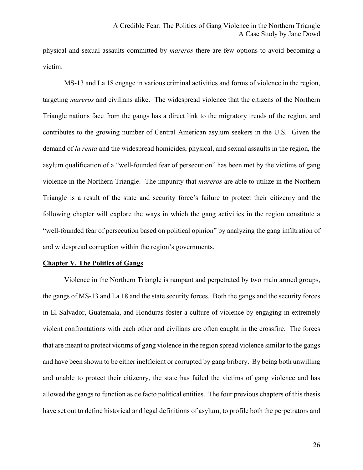physical and sexual assaults committed by *mareros* there are few options to avoid becoming a victim.

MS-13 and La 18 engage in various criminal activities and forms of violence in the region, targeting *mareros* and civilians alike. The widespread violence that the citizens of the Northern Triangle nations face from the gangs has a direct link to the migratory trends of the region, and contributes to the growing number of Central American asylum seekers in the U.S. Given the demand of *la renta* and the widespread homicides, physical, and sexual assaults in the region, the asylum qualification of a "well-founded fear of persecution" has been met by the victims of gang violence in the Northern Triangle. The impunity that *mareros* are able to utilize in the Northern Triangle is a result of the state and security force's failure to protect their citizenry and the following chapter will explore the ways in which the gang activities in the region constitute a "well-founded fear of persecution based on political opinion" by analyzing the gang infiltration of and widespread corruption within the region's governments.

#### **Chapter V. The Politics of Gangs**

Violence in the Northern Triangle is rampant and perpetrated by two main armed groups, the gangs of MS-13 and La 18 and the state security forces. Both the gangs and the security forces in El Salvador, Guatemala, and Honduras foster a culture of violence by engaging in extremely violent confrontations with each other and civilians are often caught in the crossfire. The forces that are meant to protect victims of gang violence in the region spread violence similar to the gangs and have been shown to be either inefficient or corrupted by gang bribery. By being both unwilling and unable to protect their citizenry, the state has failed the victims of gang violence and has allowed the gangs to function as de facto political entities. The four previous chapters of this thesis have set out to define historical and legal definitions of asylum, to profile both the perpetrators and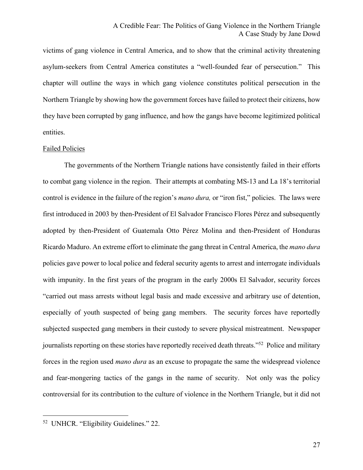victims of gang violence in Central America, and to show that the criminal activity threatening asylum-seekers from Central America constitutes a "well-founded fear of persecution." This chapter will outline the ways in which gang violence constitutes political persecution in the Northern Triangle by showing how the government forces have failed to protect their citizens, how they have been corrupted by gang influence, and how the gangs have become legitimized political entities.

#### Failed Policies

The governments of the Northern Triangle nations have consistently failed in their efforts to combat gang violence in the region. Their attempts at combating MS-13 and La 18's territorial control is evidence in the failure of the region's *mano dura,* or "iron fist," policies. The laws were first introduced in 2003 by then-President of El Salvador Francisco Flores Pérez and subsequently adopted by then-President of Guatemala Otto Pérez Molina and then-President of Honduras Ricardo Maduro. An extreme effort to eliminate the gang threat in Central America, the *mano dura*  policies gave power to local police and federal security agents to arrest and interrogate individuals with impunity. In the first years of the program in the early 2000s El Salvador, security forces "carried out mass arrests without legal basis and made excessive and arbitrary use of detention, especially of youth suspected of being gang members. The security forces have reportedly subjected suspected gang members in their custody to severe physical mistreatment. Newspaper journalists reporting on these stories have reportedly received death threats."52 Police and military forces in the region used *mano dura* as an excuse to propagate the same the widespread violence and fear-mongering tactics of the gangs in the name of security. Not only was the policy controversial for its contribution to the culture of violence in the Northern Triangle, but it did not

<sup>52</sup> UNHCR. "Eligibility Guidelines." 22.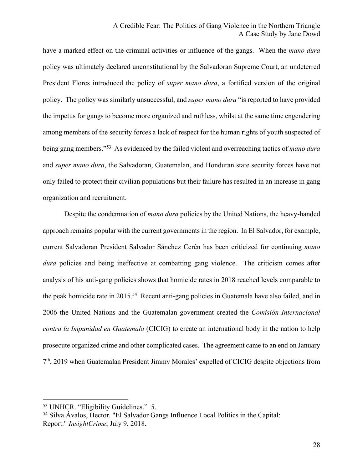have a marked effect on the criminal activities or influence of the gangs. When the *mano dura*  policy was ultimately declared unconstitutional by the Salvadoran Supreme Court, an undeterred President Flores introduced the policy of *super mano dura*, a fortified version of the original policy. The policy was similarly unsuccessful, and *super mano dura* "is reported to have provided the impetus for gangs to become more organized and ruthless, whilst at the same time engendering among members of the security forces a lack of respect for the human rights of youth suspected of being gang members."53 As evidenced by the failed violent and overreaching tactics of *mano dura*  and *super mano dura*, the Salvadoran, Guatemalan, and Honduran state security forces have not only failed to protect their civilian populations but their failure has resulted in an increase in gang organization and recruitment.

Despite the condemnation of *mano dura* policies by the United Nations, the heavy-handed approach remains popular with the current governments in the region. In El Salvador, for example, current Salvadoran President Salvador Sánchez Cerén has been criticized for continuing *mano dura* policies and being ineffective at combatting gang violence. The criticism comes after analysis of his anti-gang policies shows that homicide rates in 2018 reached levels comparable to the peak homicide rate in 2015.<sup>54</sup> Recent anti-gang policies in Guatemala have also failed, and in 2006 the United Nations and the Guatemalan government created the *Comisión Internacional contra la Impunidad en Guatemala* (CICIG) to create an international body in the nation to help prosecute organized crime and other complicated cases. The agreement came to an end on January 7th, 2019 when Guatemalan President Jimmy Morales' expelled of CICIG despite objections from

<sup>53</sup> UNHCR. "Eligibility Guidelines." 5.

<sup>54</sup> Silva Ávalos, Hector. "El Salvador Gangs Influence Local Politics in the Capital: Report." *InsightCrime*, July 9, 2018.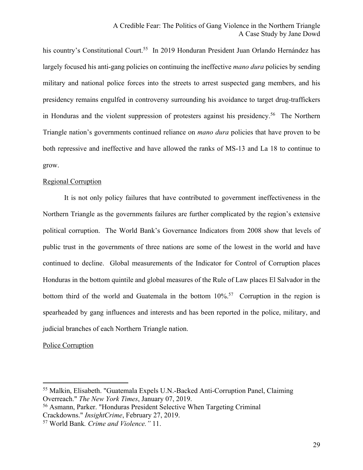his country's Constitutional Court.<sup>55</sup> In 2019 Honduran President Juan Orlando Hernández has largely focused his anti-gang policies on continuing the ineffective *mano dura* policies by sending military and national police forces into the streets to arrest suspected gang members, and his presidency remains engulfed in controversy surrounding his avoidance to target drug-traffickers in Honduras and the violent suppression of protesters against his presidency.<sup>56</sup> The Northern Triangle nation's governments continued reliance on *mano dura* policies that have proven to be both repressive and ineffective and have allowed the ranks of MS-13 and La 18 to continue to grow.

#### Regional Corruption

It is not only policy failures that have contributed to government ineffectiveness in the Northern Triangle as the governments failures are further complicated by the region's extensive political corruption. The World Bank's Governance Indicators from 2008 show that levels of public trust in the governments of three nations are some of the lowest in the world and have continued to decline. Global measurements of the Indicator for Control of Corruption places Honduras in the bottom quintile and global measures of the Rule of Law places El Salvador in the bottom third of the world and Guatemala in the bottom  $10\%$ <sup>57</sup> Corruption in the region is spearheaded by gang influences and interests and has been reported in the police, military, and judicial branches of each Northern Triangle nation.

#### Police Corruption

<sup>55</sup> Malkin, Elisabeth. "Guatemala Expels U.N.-Backed Anti-Corruption Panel, Claiming Overreach." *The New York Times*, January 07, 2019.

<sup>56</sup> Asmann, Parker. "Honduras President Selective When Targeting Criminal Crackdowns." *InsightCrime*, February 27, 2019.

<sup>57</sup> World Bank*. Crime and Violence."* 11.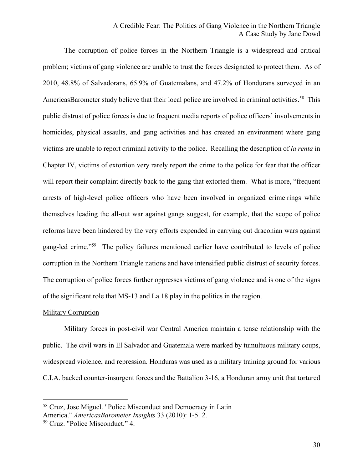# A Credible Fear: The Politics of Gang Violence in the Northern Triangle A Case Study by Jane Dowd

The corruption of police forces in the Northern Triangle is a widespread and critical problem; victims of gang violence are unable to trust the forces designated to protect them. As of 2010, 48.8% of Salvadorans, 65.9% of Guatemalans, and 47.2% of Hondurans surveyed in an AmericasBarometer study believe that their local police are involved in criminal activities.<sup>58</sup> This public distrust of police forces is due to frequent media reports of police officers' involvements in homicides, physical assaults, and gang activities and has created an environment where gang victims are unable to report criminal activity to the police. Recalling the description of *la renta* in Chapter IV, victims of extortion very rarely report the crime to the police for fear that the officer will report their complaint directly back to the gang that extorted them. What is more, "frequent" arrests of high-level police officers who have been involved in organized crime rings while themselves leading the all‐out war against gangs suggest, for example, that the scope of police reforms have been hindered by the very efforts expended in carrying out draconian wars against gang-led crime."<sup>59</sup> The policy failures mentioned earlier have contributed to levels of police corruption in the Northern Triangle nations and have intensified public distrust of security forces. The corruption of police forces further oppresses victims of gang violence and is one of the signs of the significant role that MS-13 and La 18 play in the politics in the region.

#### **Military Corruption**

 $\overline{a}$ 

Military forces in post-civil war Central America maintain a tense relationship with the public. The civil wars in El Salvador and Guatemala were marked by tumultuous military coups, widespread violence, and repression. Honduras was used as a military training ground for various C.I.A. backed counter-insurgent forces and the Battalion 3-16, a Honduran army unit that tortured

<sup>58</sup> Cruz, Jose Miguel. "Police Misconduct and Democracy in Latin America." *AmericasBarometer Insights* 33 (2010): 1-5. 2.

<sup>59</sup> Cruz. "Police Misconduct." 4.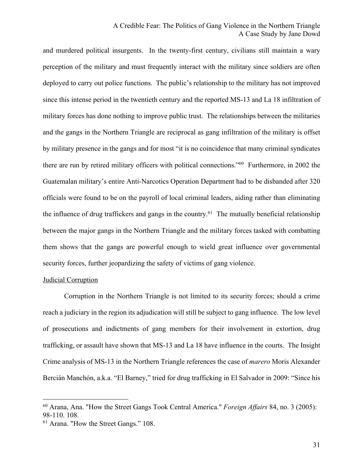and murdered political insurgents. In the twenty-first century, civilians still maintain a wary perception of the military and must frequently interact with the military since soldiers are often deployed to carry out police functions. The public's relationship to the military has not improved since this intense period in the twentieth century and the reported MS-13 and La 18 infiltration of military forces has done nothing to improve public trust. The relationships between the militaries and the gangs in the Northern Triangle are reciprocal as gang infiltration of the military is offset by military presence in the gangs and for most "it is no coincidence that many criminal syndicates there are run by retired military officers with political connections."60 Furthermore, in 2002 the Guatemalan military's entire Anti-Narcotics Operation Department had to be disbanded after 320 officials were found to be on the payroll of local criminal leaders, aiding rather than eliminating the influence of drug traffickers and gangs in the country.<sup>61</sup> The mutually beneficial relationship between the major gangs in the Northern Triangle and the military forces tasked with combatting them shows that the gangs are powerful enough to wield great influence over governmental security forces, further jeopardizing the safety of victims of gang violence.

# Judicial Corruption

 $\overline{a}$ 

Corruption in the Northern Triangle is not limited to its security forces; should a crime reach a judiciary in the region its adjudication will still be subject to gang influence. The low level of prosecutions and indictments of gang members for their involvement in extortion, drug trafficking, or assault have shown that MS-13 and La 18 have influence in the courts. The Insight Crime analysis of MS-13 in the Northern Triangle references the case of *marero* Moris Alexander Bercián Manchón, a.k.a. "El Barney," tried for drug trafficking in El Salvador in 2009: "Since his

<sup>60</sup> Arana, Ana. "How the Street Gangs Took Central America." *Foreign Affairs* 84, no. 3 (2005): 98-110. 108.

<sup>61</sup> Arana. "How the Street Gangs." 108.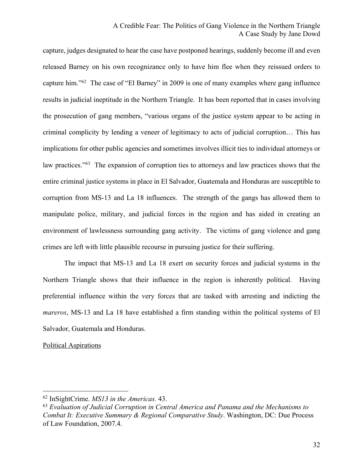capture, judges designated to hear the case have postponed hearings, suddenly become ill and even released Barney on his own recognizance only to have him flee when they reissued orders to capture him."62 The case of "El Barney" in 2009 is one of many examples where gang influence results in judicial ineptitude in the Northern Triangle. It has been reported that in cases involving the prosecution of gang members, "various organs of the justice system appear to be acting in criminal complicity by lending a veneer of legitimacy to acts of judicial corruption… This has implications for other public agencies and sometimes involves illicit ties to individual attorneys or law practices."63 The expansion of corruption ties to attorneys and law practices shows that the entire criminal justice systems in place in El Salvador, Guatemala and Honduras are susceptible to corruption from MS-13 and La 18 influences. The strength of the gangs has allowed them to manipulate police, military, and judicial forces in the region and has aided in creating an environment of lawlessness surrounding gang activity. The victims of gang violence and gang crimes are left with little plausible recourse in pursuing justice for their suffering.

The impact that MS-13 and La 18 exert on security forces and judicial systems in the Northern Triangle shows that their influence in the region is inherently political. Having preferential influence within the very forces that are tasked with arresting and indicting the *mareros*, MS-13 and La 18 have established a firm standing within the political systems of El Salvador, Guatemala and Honduras.

#### Political Aspirations

<sup>62</sup> InSightCrime. *MS13 in the Americas.* 43.

<sup>63</sup> *Evaluation of Judicial Corruption in Central America and Panama and the Mechanisms to Combat It: Executive Summary & Regional Comparative Study*. Washington, DC: Due Process of Law Foundation, 2007.4.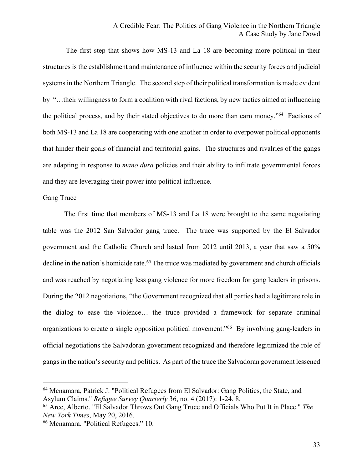The first step that shows how MS-13 and La 18 are becoming more political in their structures is the establishment and maintenance of influence within the security forces and judicial systems in the Northern Triangle. The second step of their political transformation is made evident by "…their willingness to form a coalition with rival factions, by new tactics aimed at influencing the political process, and by their stated objectives to do more than earn money."64 Factions of both MS-13 and La 18 are cooperating with one another in order to overpower political opponents that hinder their goals of financial and territorial gains. The structures and rivalries of the gangs are adapting in response to *mano dura* policies and their ability to infiltrate governmental forces and they are leveraging their power into political influence.

#### **Gang Truce**

 $\overline{a}$ 

The first time that members of MS-13 and La 18 were brought to the same negotiating table was the 2012 San Salvador gang truce. The truce was supported by the El Salvador government and the Catholic Church and lasted from 2012 until 2013, a year that saw a 50% decline in the nation's homicide rate.<sup>65</sup> The truce was mediated by government and church officials and was reached by negotiating less gang violence for more freedom for gang leaders in prisons. During the 2012 negotiations, "the Government recognized that all parties had a legitimate role in the dialog to ease the violence… the truce provided a framework for separate criminal organizations to create a single opposition political movement."<sup>66</sup> By involving gang-leaders in official negotiations the Salvadoran government recognized and therefore legitimized the role of gangs in the nation's security and politics. As part of the truce the Salvadoran government lessened

<sup>64</sup> Mcnamara, Patrick J. "Political Refugees from El Salvador: Gang Politics, the State, and Asylum Claims." *Refugee Survey Quarterly* 36, no. 4 (2017): 1-24. 8.

<sup>65</sup> Arce, Alberto. "El Salvador Throws Out Gang Truce and Officials Who Put It in Place." *The New York Times*, May 20, 2016.

<sup>66</sup> Mcnamara. "Political Refugees." 10.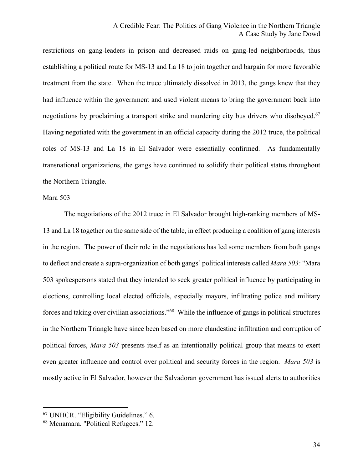restrictions on gang-leaders in prison and decreased raids on gang-led neighborhoods, thus establishing a political route for MS-13 and La 18 to join together and bargain for more favorable treatment from the state. When the truce ultimately dissolved in 2013, the gangs knew that they had influence within the government and used violent means to bring the government back into negotiations by proclaiming a transport strike and murdering city bus drivers who disobeyed.<sup>67</sup> Having negotiated with the government in an official capacity during the 2012 truce, the political roles of MS-13 and La 18 in El Salvador were essentially confirmed. As fundamentally transnational organizations, the gangs have continued to solidify their political status throughout the Northern Triangle.

#### Mara 503

 $\overline{a}$ 

The negotiations of the 2012 truce in El Salvador brought high-ranking members of MS-13 and La 18 together on the same side of the table, in effect producing a coalition of gang interests in the region. The power of their role in the negotiations has led some members from both gangs to deflect and create a supra-organization of both gangs' political interests called *Mara 503:* "Mara 503 spokespersons stated that they intended to seek greater political influence by participating in elections, controlling local elected officials, especially mayors, infiltrating police and military forces and taking over civilian associations."68 While the influence of gangs in political structures in the Northern Triangle have since been based on more clandestine infiltration and corruption of political forces, *Mara 503* presents itself as an intentionally political group that means to exert even greater influence and control over political and security forces in the region. *Mara 503* is mostly active in El Salvador, however the Salvadoran government has issued alerts to authorities

<sup>67</sup> UNHCR. "Eligibility Guidelines." 6.

<sup>68</sup> Mcnamara. "Political Refugees." 12.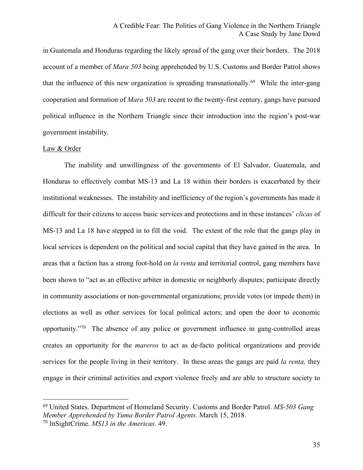in Guatemala and Honduras regarding the likely spread of the gang over their borders. The 2018 account of a member of *Mara 503* being apprehended by U.S. Customs and Border Patrol shows that the influence of this new organization is spreading transnationally.<sup>69</sup> While the inter-gang cooperation and formation of *Mara 503* are recent to the twenty-first century, gangs have pursued political influence in the Northern Triangle since their introduction into the region's post-war government instability.

#### Law & Order

The inability and unwillingness of the governments of El Salvador, Guatemala, and Honduras to effectively combat MS-13 and La 18 within their borders is exacerbated by their institutional weaknesses. The instability and inefficiency of the region's governments has made it difficult for their citizens to access basic services and protections and in these instances' *clicas* of MS-13 and La 18 have stepped in to fill the void. The extent of the role that the gangs play in local services is dependent on the political and social capital that they have gained in the area. In areas that a faction has a strong foot-hold on *la renta* and territorial control, gang members have been shown to "act as an effective arbiter in domestic or neighborly disputes; participate directly in community associations or non-governmental organizations; provide votes (or impede them) in elections as well as other services for local political actors; and open the door to economic opportunity."70 The absence of any police or government influence in gang-controlled areas creates an opportunity for the *mareros* to act as de-facto political organizations and provide services for the people living in their territory. In these areas the gangs are paid *la renta,* they engage in their criminal activities and export violence freely and are able to structure society to

<sup>69</sup> United States. Department of Homeland Security. Customs and Border Patrol. *MS-503 Gang Member Apprehended by Yuma Border Patrol Agents.* March 15, 2018.

<sup>70</sup> InSightCrime. *MS13 in the Americas.* 49.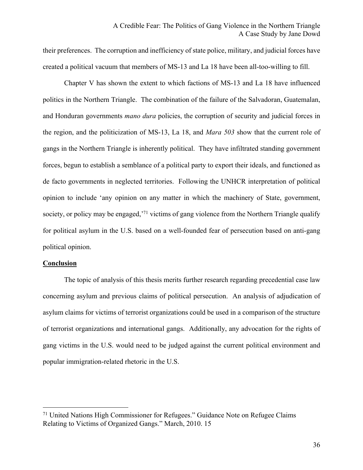their preferences. The corruption and inefficiency of state police, military, and judicial forces have created a political vacuum that members of MS-13 and La 18 have been all-too-willing to fill.

Chapter V has shown the extent to which factions of MS-13 and La 18 have influenced politics in the Northern Triangle. The combination of the failure of the Salvadoran, Guatemalan, and Honduran governments *mano dura* policies, the corruption of security and judicial forces in the region, and the politicization of MS-13, La 18, and *Mara 503* show that the current role of gangs in the Northern Triangle is inherently political. They have infiltrated standing government forces, begun to establish a semblance of a political party to export their ideals, and functioned as de facto governments in neglected territories. Following the UNHCR interpretation of political opinion to include 'any opinion on any matter in which the machinery of State, government, society, or policy may be engaged,<sup>71</sup> victims of gang violence from the Northern Triangle qualify for political asylum in the U.S. based on a well-founded fear of persecution based on anti-gang political opinion.

#### **Conclusion**

 $\overline{a}$ 

The topic of analysis of this thesis merits further research regarding precedential case law concerning asylum and previous claims of political persecution. An analysis of adjudication of asylum claims for victims of terrorist organizations could be used in a comparison of the structure of terrorist organizations and international gangs. Additionally, any advocation for the rights of gang victims in the U.S. would need to be judged against the current political environment and popular immigration-related rhetoric in the U.S.

 $71$  United Nations High Commissioner for Refugees." Guidance Note on Refugee Claims Relating to Victims of Organized Gangs." March, 2010. 15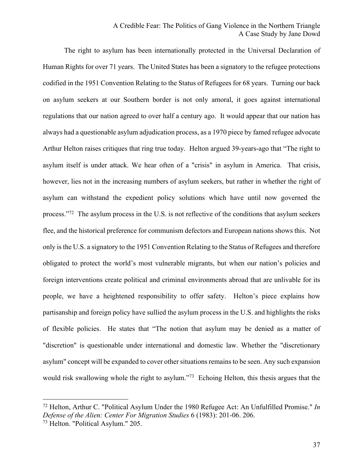# A Credible Fear: The Politics of Gang Violence in the Northern Triangle A Case Study by Jane Dowd

The right to asylum has been internationally protected in the Universal Declaration of Human Rights for over 71 years. The United States has been a signatory to the refugee protections codified in the 1951 Convention Relating to the Status of Refugees for 68 years. Turning our back on asylum seekers at our Southern border is not only amoral, it goes against international regulations that our nation agreed to over half a century ago. It would appear that our nation has always had a questionable asylum adjudication process, as a 1970 piece by famed refugee advocate Arthur Helton raises critiques that ring true today. Helton argued 39-years-ago that "The right to asylum itself is under attack. We hear often of a "crisis" in asylum in America. That crisis, however, lies not in the increasing numbers of asylum seekers, but rather in whether the right of asylum can withstand the expedient policy solutions which have until now governed the process."72 The asylum process in the U.S. is not reflective of the conditions that asylum seekers flee, and the historical preference for communism defectors and European nations shows this. Not only is the U.S. a signatory to the 1951 Convention Relating to the Status of Refugees and therefore obligated to protect the world's most vulnerable migrants, but when our nation's policies and foreign interventions create political and criminal environments abroad that are unlivable for its people, we have a heightened responsibility to offer safety. Helton's piece explains how partisanship and foreign policy have sullied the asylum process in the U.S. and highlights the risks of flexible policies. He states that "The notion that asylum may be denied as a matter of "discretion" is questionable under international and domestic law. Whether the "discretionary asylum" concept will be expanded to cover other situations remains to be seen. Any such expansion would risk swallowing whole the right to asylum."<sup>73</sup> Echoing Helton, this thesis argues that the

<sup>72</sup> Helton, Arthur C. "Political Asylum Under the 1980 Refugee Act: An Unfulfilled Promise." *In Defense of the Alien: Center For Migration Studies* 6 (1983): 201-06. 206.

<sup>73</sup> Helton. "Political Asylum." 205.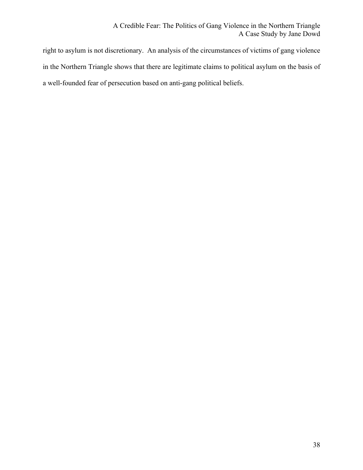right to asylum is not discretionary. An analysis of the circumstances of victims of gang violence in the Northern Triangle shows that there are legitimate claims to political asylum on the basis of a well-founded fear of persecution based on anti-gang political beliefs.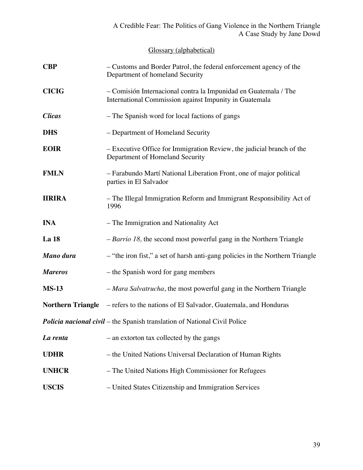Glossary (alphabetical)

| <b>CBP</b>     | - Customs and Border Patrol, the federal enforcement agency of the<br>Department of homeland Security                     |  |  |  |  |  |
|----------------|---------------------------------------------------------------------------------------------------------------------------|--|--|--|--|--|
| <b>CICIG</b>   | - Comisión Internacional contra la Impunidad en Guatemala / The<br>International Commission against Impunity in Guatemala |  |  |  |  |  |
| <b>Clicas</b>  | - The Spanish word for local factions of gangs                                                                            |  |  |  |  |  |
| <b>DHS</b>     | - Department of Homeland Security                                                                                         |  |  |  |  |  |
| <b>EOIR</b>    | - Executive Office for Immigration Review, the judicial branch of the<br>Department of Homeland Security                  |  |  |  |  |  |
| <b>FMLN</b>    | - Farabundo Martí National Liberation Front, one of major political<br>parties in El Salvador                             |  |  |  |  |  |
| <b>IIRIRA</b>  | - The Illegal Immigration Reform and Immigrant Responsibility Act of<br>1996                                              |  |  |  |  |  |
| <b>INA</b>     | - The Immigration and Nationality Act                                                                                     |  |  |  |  |  |
| La 18          | $- Barrio 18$ , the second most powerful gang in the Northern Triangle                                                    |  |  |  |  |  |
| Mano dura      | - "the iron fist," a set of harsh anti-gang policies in the Northern Triangle                                             |  |  |  |  |  |
| <b>Mareros</b> | – the Spanish word for gang members                                                                                       |  |  |  |  |  |
| <b>MS-13</b>   | - Mara Salvatrucha, the most powerful gang in the Northern Triangle                                                       |  |  |  |  |  |
|                | <b>Northern Triangle</b> – refers to the nations of El Salvador, Guatemala, and Honduras                                  |  |  |  |  |  |
|                | <b>Policia nacional civil</b> – the Spanish translation of National Civil Police                                          |  |  |  |  |  |
| La renta       | - an extorton tax collected by the gangs                                                                                  |  |  |  |  |  |
| <b>UDHR</b>    | – the United Nations Universal Declaration of Human Rights                                                                |  |  |  |  |  |
| <b>UNHCR</b>   | - The United Nations High Commissioner for Refugees                                                                       |  |  |  |  |  |
| <b>USCIS</b>   | - United States Citizenship and Immigration Services                                                                      |  |  |  |  |  |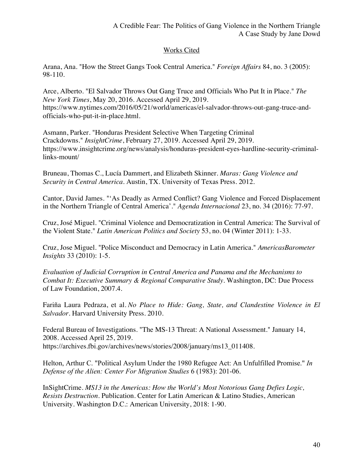# Works Cited

Arana, Ana. "How the Street Gangs Took Central America." *Foreign Affairs* 84, no. 3 (2005): 98-110.

Arce, Alberto. "El Salvador Throws Out Gang Truce and Officials Who Put It in Place." *The New York Times*, May 20, 2016. Accessed April 29, 2019. https://www.nytimes.com/2016/05/21/world/americas/el-salvador-throws-out-gang-truce-andofficials-who-put-it-in-place.html.

Asmann, Parker. "Honduras President Selective When Targeting Criminal Crackdowns." *InsightCrime*, February 27, 2019. Accessed April 29, 2019. https://www.insightcrime.org/news/analysis/honduras-president-eyes-hardline-security-criminallinks-mount/

Bruneau, Thomas C., Lucía Dammert, and Elizabeth Skinner. *Maras: Gang Violence and Security in Central America*. Austin, TX. University of Texas Press. 2012.

Cantor, David James. "'As Deadly as Armed Conflict? Gang Violence and Forced Displacement in the Northern Triangle of Central America'." *Agenda Internacional* 23, no. 34 (2016): 77-97.

Cruz, José Miguel. "Criminal Violence and Democratization in Central America: The Survival of the Violent State." *Latin American Politics and Society* 53, no. 04 (Winter 2011): 1-33.

Cruz, Jose Miguel. "Police Misconduct and Democracy in Latin America." *AmericasBarometer Insights* 33 (2010): 1-5.

*Evaluation of Judicial Corruption in Central America and Panama and the Mechanisms to Combat It: Executive Summary & Regional Comparative Study*. Washington, DC: Due Process of Law Foundation, 2007.4.

Fariña Laura Pedraza, et al. *No Place to Hide: Gang, State, and Clandestine Violence in El Salvador*. Harvard University Press. 2010.

Federal Bureau of Investigations. "The MS-13 Threat: A National Assessment." January 14, 2008. Accessed April 25, 2019. https://archives.fbi.gov/archives/news/stories/2008/january/ms13\_011408.

Helton, Arthur C. "Political Asylum Under the 1980 Refugee Act: An Unfulfilled Promise." *In Defense of the Alien: Center For Migration Studies* 6 (1983): 201-06.

InSightCrime. *MS13 in the Americas: How the World's Most Notorious Gang Defies Logic, Resists Destruction*. Publication. Center for Latin American & Latino Studies, American University. Washington D.C.: American University, 2018: 1-90.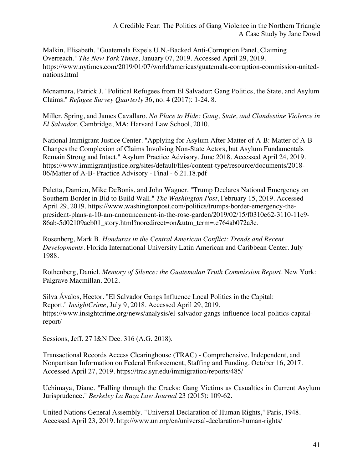Malkin, Elisabeth. "Guatemala Expels U.N.-Backed Anti-Corruption Panel, Claiming Overreach." *The New York Times*, January 07, 2019. Accessed April 29, 2019. https://www.nytimes.com/2019/01/07/world/americas/guatemala-corruption-commission-unitednations.html

Mcnamara, Patrick J. "Political Refugees from El Salvador: Gang Politics, the State, and Asylum Claims." *Refugee Survey Quarterly* 36, no. 4 (2017): 1-24. 8.

Miller, Spring, and James Cavallaro. *No Place to Hide: Gang, State, and Clandestine Violence in El Salvador*. Cambridge, MA: Harvard Law School, 2010.

National Immigrant Justice Center. "Applying for Asylum After Matter of A-B: Matter of A-B-Changes the Complexion of Claims Involving Non-State Actors, but Asylum Fundamentals Remain Strong and Intact." Asylum Practice Advisory. June 2018. Accessed April 24, 2019. https://www.immigrantjustice.org/sites/default/files/content-type/resource/documents/2018- 06/Matter of A-B- Practice Advisory - Final - 6.21.18.pdf

Paletta, Damien, Mike DeBonis, and John Wagner. "Trump Declares National Emergency on Southern Border in Bid to Build Wall." *The Washington Post*, February 15, 2019. Accessed April 29, 2019. https://www.washingtonpost.com/politics/trumps-border-emergency-thepresident-plans-a-10-am-announcement-in-the-rose-garden/2019/02/15/f0310e62-3110-11e9- 86ab-5d02109aeb01\_story.html?noredirect=on&utm\_term=.e764ab072a3e.

Rosenberg, Mark B. *Honduras in the Central American Conflict: Trends and Recent Developments*. Florida International University Latin American and Caribbean Center. July 1988.

Rothenberg, Daniel. *Memory of Silence: the Guatemalan Truth Commission Report*. New York: Palgrave Macmillan. 2012.

Silva Ávalos, Hector. "El Salvador Gangs Influence Local Politics in the Capital: Report." *InsightCrime*, July 9, 2018. Accessed April 29, 2019. https://www.insightcrime.org/news/analysis/el-salvador-gangs-influence-local-politics-capitalreport/

Sessions, Jeff. 27 I&N Dec. 316 (A.G. 2018).

Transactional Records Access Clearinghouse (TRAC) - Comprehensive, Independent, and Nonpartisan Information on Federal Enforcement, Staffing and Funding. October 16, 2017. Accessed April 27, 2019. https://trac.syr.edu/immigration/reports/485/

Uchimaya, Diane. "Falling through the Cracks: Gang Victims as Casualties in Current Asylum Jurisprudence." *Berkeley La Raza Law Journal* 23 (2015): 109-62.

United Nations General Assembly. "Universal Declaration of Human Rights," Paris, 1948. Accessed April 23, 2019. http://www.un.org/en/universal-declaration-human-rights/